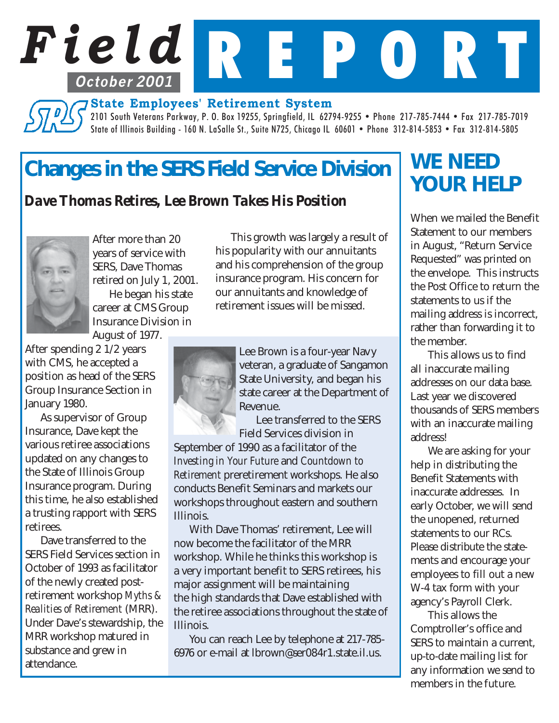# *Field* R E P O R T **State Employees' Retirement System October 2001**

2101 South Veterans Parkway, P. O. Box 19255, Springfield, IL 62794-9255 • Phone 217-785-7444 • Fax 217-785-7019 State of Illinois Building - 160 N. LaSalle St., Suite N725, Chicago IL 60601 • Phone 312-814-5853 • Fax 312-814-5805

## *Changes in the SERS Field Service Division*

### *Dave Thomas Retires, Lee Brown Takes His Position*



After more than 20 years of service with SERS, Dave Thomas retired on July 1, 2001. He began his state career at CMS Group Insurance Division in

August of 1977.

After spending 2  $1/2$  years with CMS, he accepted a position as head of the SERS Group Insurance Section in January 1980.

As supervisor of Group Insurance, Dave kept the various retiree associations updated on any changes to the State of Illinois Group Insurance program. During this time, he also established a trusting rapport with SERS retirees.

Dave transferred to the SERS Field Services section in October of 1993 as facilitator of the newly created postretirement workshop *Myths & Realities of Retirement* (MRR). Under Dave's stewardship, the MRR workshop matured in substance and grew in attendance.

This growth was largely a result of his popularity with our annuitants and his comprehension of the group insurance program. His concern for our annuitants and knowledge of retirement issues will be missed.



Lee Brown is a four-year Navy veteran, a graduate of Sangamon State University, and began his state career at the Department of Revenue.

 Lee transferred to the SERS Field Services division in

September of 1990 as a facilitator of the *Investing in Your Future* and *Countdown to Retirement* preretirement workshops. He also conducts Benefit Seminars and markets our workshops throughout eastern and southern Illinois.

With Dave Thomas' retirement, Lee will now become the facilitator of the MRR workshop. While he thinks this workshop is a very important benefit to SERS retirees, his major assignment will be maintaining the high standards that Dave established with the retiree associations throughout the state of Illinois.

You can reach Lee by telephone at 217-785- 6976 or e-mail at lbrown@ser084r1.state.il.us.

### *WE NEED YOUR HELP*

When we mailed the Benefit Statement to our members in August, "Return Service Requested" was printed on the envelope. This instructs the Post Office to return the statements to us if the mailing address is incorrect, rather than forwarding it to the member.

This allows us to find all inaccurate mailing addresses on our data base. Last year we discovered thousands of SERS members with an inaccurate mailing address!

We are asking for your help in distributing the Benefit Statements with inaccurate addresses. In early October, we will send the unopened, returned statements to our RCs. Please distribute the statements and encourage your employees to fill out a new W-4 tax form with your agency's Payroll Clerk.

This allows the Comptroller's office and SERS to maintain a current, up-to-date mailing list for any information we send to members in the future.